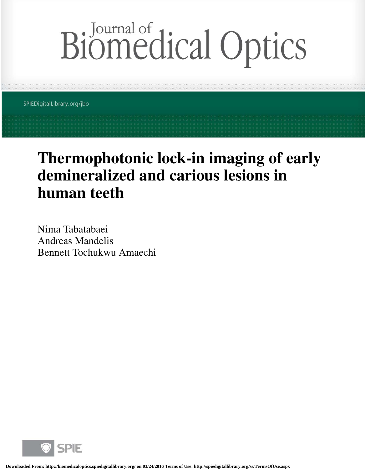# Biomedical Optics

SPIEDigitalLibrary.org/jbo

## **Thermophotonic lock-in imaging of early demineralized and carious lesions in human teeth**

Nima Tabatabaei Andreas Mandelis Bennett Tochukwu Amaechi



**Downloaded From: http://biomedicaloptics.spiedigitallibrary.org/ on 03/24/2016 Terms of Use: http://spiedigitallibrary.org/ss/TermsOfUse.aspx**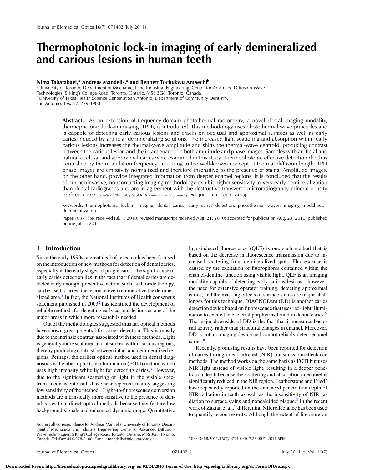### **Thermophotonic lock-in imaging of early demineralized and carious lesions in human teeth**

#### **Nima Tabatabaei,**<sup>a</sup> Andreas Mandelis,<sup>a</sup> and Bennett Tochukwu Amaechi<sup>b</sup>

aUniversity of Toronto, Department of Mechanical and Industrial Engineering, Center for Advanced Diffusion-Wave Technologies, 5 King's College Road, Toronto, Ontario, M5S 3G8, Toronto, Canada <sup>b</sup>University of Texas Health Science Center at San Antonio, Department of Community Dentistry, San Antonio, Texas 78229-3900

> **Abstract.** As an extension of frequency-domain photothermal radiometry, a novel dental-imaging modality, thermophotonic lock-in imaging (TPLI), is introduced. This methodology uses photothermal wave principles and is capable of detecting early carious lesions and cracks on occlusal and approximal surfaces as well as early caries induced by artificial demineralizing solutions. The increased light scattering and absorption within early carious lesions increases the thermal-wave amplitude and shifts the thermal-wave centroid, producing contrast between the carious lesion and the intact enamel in both amplitude and phase images. Samples with artificial and natural occlusal and approximal caries were examined in this study. Thermophotonic effective detection depth is controlled by the modulation frequency according to the well-known concept of thermal diffusion length. TPLI phase images are emissivity normalized and therefore insensitive to the presence of stains. Amplitude images, on the other hand, provide integrated information from deeper enamel regions. It is concluded that the results of our noninvasive, noncontacting imaging methodology exhibit higher sensitivity to very early demineralization than dental radiographs and are in agreement with the destructive transverse microradiography mineral density profiles. -<sup>C</sup> *2011 Society of Photo-Optical Instrumentation Engineers (SPIE)*. [DOI: 10.1117/1.3564890]

> Keywords: thermophotonic lock-in imaging; dental caries; early caries detection; photothermal waves; imaging modalities; demineralization.

> Paper 10371SSR received Jul. 1, 2010; revised manuscript received Aug. 21, 2010; accepted for publication Aug. 23, 2010; published online Jul. 1, 2011.

#### **1 Introduction**

Since the early 1990s, a great deal of research has been focused on the introduction of new methods for detection of dental caries, especially in the early stages of progression. The significance of early caries detection lies in the fact that if dental caries are detected early enough, preventive action, such as fluoride therapy, can be used to arrest the lesion or even remineralize the demineralized area.<sup>1</sup> In fact, the National Institutes of Health consensus statement published in  $2003<sup>2</sup>$  $2003<sup>2</sup>$  has identified the development of reliable methods for detecting early carious lesions as one of the major areas in which more research is needed.

Out of the methodologies suggested thus far, optical methods have shown great potential for caries detection. This is mostly due to the intrinsic contrast associated with these methods. Light is generally more scattered and absorbed within carious regions, thereby producing contrast between intact and demineralized regions. Perhaps, the earliest optical method used in dental diagnostics is the fiber-optic transillumination (FOTI) method which uses high intensity white light for detecting caries.<sup>[3](#page-9-2)</sup> However, due to the significant scattering of light in the visible spectrum, inconsistent results have been reported, mainly suggesting low sensitivity of the method. $3$  Light-to-fluorescence conversion methods are intrinsically more sensitive to the presence of dental caries than direct optical methods because they feature low background signals and enhanced dynamic range. Quantitative

light-induced fluorescence (QLF) is one such method that is based on the decrease in fluorescence transmission due to increased scattering from demineralized spots. Fluorescence is caused by the excitation of fluorophores contained within the enamel-dentine junction using visible light. QLF is an imaging modality capable of detecting early carious lesions;<sup>4</sup> however, the need for extensive operator training, detecting approximal caries, and the masking effects of surface stains are major challenges for this technique. DIAGNODent (DD) is another caries detection device based on fluorescence that uses red-light illumination to excite the bacterial porphyrins found in dental caries.<sup>5</sup> The major downside of DD is the fact that it measures bacterial activity rather than structural changes in enamel. Moreover, DD is not an imaging device and cannot reliably detect enamel caries.<sup>[6](#page-9-5)</sup>

Recently, promising results have been reported for detection of caries through near-infrared (NIR) transmission/reflectance methods. The method works on the same basis as FOTI but uses NIR light instead of visible light, resulting in a deeper penetration depth because the scattering and absorption in enamel is significantly reduced in the NIR region. Featherstone and Fried<sup>7</sup> have repeatedly reported on the enhanced penetration depth of NIR radiation in teeth as well as the insensitivity of NIR ra-diation to surface stains and noncalcified plaque.<sup>[8](#page-9-7)</sup> In the recent work of Zakian et al.,<sup>9</sup> differential NIR reflectance has been used to quantify lesion severity. Although the extent of literature on

Address all correspondence to: Andreas Mandelis, University of Toronto, Department of Mechanical and Industrial Engineering, Center for Advanced Diffusion-Wave Technologies, 5 King's College Road, Toronto, Ontario, M5S 3G8, Toronto, Canada. Tel./Fax: 416-978-5106; E-mail: [mandelis@mie.utoronto.ca.](mailto: mandelis@mie.utoronto.ca)

<sup>1083-3668/2011/16(7)/071402/10/\$25.00 © 2011</sup> SPIE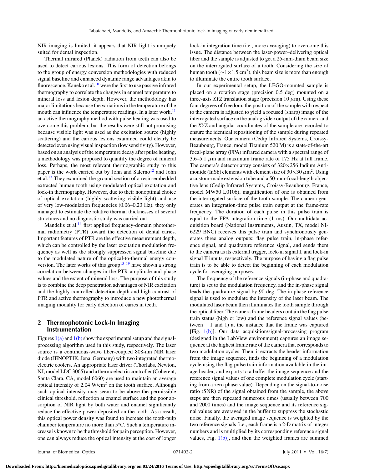NIR imaging is limited, it appears that NIR light is uniquely suited for dental inspection.

Thermal infrared (Planck) radiation from teeth can also be used to detect carious lesions. This form of detection belongs to the group of energy conversion methodologies with reduced signal baseline and enhanced dynamic range advantages akin to fluorescence. Kaneko et al.<sup>10</sup> were the first to use passive infrared thermography to correlate the changes in enamel temperature to mineral loss and lesion depth. However, the methodology has major limitations because the variations in the temperature of the mouth can influence the temperature readings. In a later work,<sup>[11](#page-9-10)</sup> an active thermography method with pulse heating was used to overcome this problem, but the results were still not promising because visible light was used as the excitation source (highly scattering) and the carious lesions examined could clearly be detected even using visual inspection (low sensitivity). However, based on an analysis of the temperature decay after pulse heating, a methodology was proposed to quantify the degree of mineral loss. Perhaps, the most relevant thermographic study to this paper is the work carried out by John and Salerno<sup>12</sup> and John et al.<sup>13</sup> They examined the ground section of a resin-embedded extracted human tooth using modulated optical excitation and lock-in thermography. However, due to their nonoptimal choice of optical excitation (highly scattering visible light) and use of very low-modulation frequencies (0.06–0.23 Hz), they only managed to estimate the relative thermal thicknesses of several structures and no diagnostic study was carried out.

Mandelis et al.<sup>14</sup> first applied frequency-domain photothermal radiometry (PTR) toward the detection of dental caries. Important features of PTR are the effective measurement depth, which can be controlled by the laser excitation modulation frequency as well as the strongly suppressed signal baseline due to the modulated nature of the optical-to-thermal energy con-version. The later works of this group<sup>15[–19](#page-9-15)</sup> have shown a strong correlation between changes in the PTR amplitude and phase values and the extent of mineral loss. The purpose of this study is to combine the deep penetration advantages of NIR excitation and the highly controlled detection depth and high contrast of PTR and active thermography to introduce a new photothermal imaging modality for early detection of caries in teeth.

#### **2 Thermophotonic Lock-In Imaging Instrumentation**

Figures  $1(a)$  and  $1(b)$  show the experimental setup and the signalprocessing algorithm used in this study, respectively. The laser source is a continuous-wave fiber-coupled 808-nm NIR laser diode (JENOPTIK, Jena, Germany) with two integrated thermoelectric coolers. An appropriate laser driver (Thorlabs, Newton, NJ, model LDC 3065) and a thermoelectric controller (Coherent, Santa Clara, CA, model 6060) are used to maintain an average optical intensity of 2.04  $W/cm^2$  on the tooth surface. Although such optical intensity may seem to be above the permissible clinical threshold, reflection at enamel surface and the poor absorption of NIR light by both water and enamel significantly reduce the effective power deposited on the tooth. As a result, this optical power density was found to increase the tooth-pulp chamber temperature no more than 5◦C. Such a temperature increase is known to be the threshold for pain perception. However, one can always reduce the optical intensity at the cost of longer lock-in integration time (i.e., more averaging) to overcome this issue. The distance between the laser-power–delivering optical fiber and the sample is adjusted to get a 25-mm-diam beam size on the interrogated surface of a tooth. Considering the size of human tooth ( $\sim$ 1×1.5 cm<sup>2</sup>), this beam size is more than enough to illuminate the entire tooth surface.

In our experimental setup, the LEGO-mounted sample is placed on a rotation stage (precision 0.5 deg) mounted on a three-axis *XYZ* translation stage (precision 10  $\mu$ m). Using these four degrees of freedom, the position of the sample with respect to the camera is adjusted to yield a focused (sharp) image of the interrogated surface on the analog video output of the camera and the *XYZ* and angular coordinates of the sample are recorded to ensure the identical repositioning of the sample during repeated measurements. Our camera (Cedip Infrared Systems, Croissy-Beaubourg, France, model Titanium 520 M) is a state-of-the-art focal-plane array (FPA) infrared camera with a spectral range of 3.6–5.1  $\mu$ m and maximum frame rate of 175 Hz at full frame. The camera's detector array consists of  $320 \times 256$  Indium Antimonide (InSb) elements with element size of  $30 \times 30 \mu m^2$ . Using a custom-made extension tube and a 50-mm-focal-length objective lens (Cedip Infrared Systems, Croissy-Beaubourg, France, model MW50 L0106), magnification of one is obtained from the interrogated surface of the tooth sample. The camera generates an integration-time pulse train output at the frame-rate frequency. The duration of each pulse in this pulse train is equal to the FPA integration time (1 ms). Our multidata acquisition board (National Instruments, Austin, TX, model NI-6229 BNC) receives this pulse train and synchronously generates three analog outputs: flag pulse train, in-phase reference signal, and quadrature reference signal, and sends them to the camera as its external trigger, lock-in signal I, and lock-in signal II inputs, respectively. The purpose of having a flag pulse train is to be able to detect the beginning of each modulation cycle for averaging purposes.

The frequency of the reference signals (in-phase and quadrature) is set to the modulation frequency, and the in-phase signal leads the quadrature signal by 90 deg. The in-phase reference signal is used to modulate the intensity of the laser beam. The modulated laser beam then illuminates the tooth sample through the optical fiber. The camera frame headers contain the flag pulse train status (high or low) and the reference signal values (between −1 and 1) at the instance that the frame was captured [Fig. [1\(b\)\]](#page-3-0). Our data acquisition/signal-processing program (designed in the LabView environment) captures an image sequence at the highest frame rate of the camera that corresponds to two modulation cycles. Then, it extracts the header information from the image sequence, finds the beginning of a modulation cycle using the flag pulse train information available in the image header, and exports to a buffer the image sequence and the reference signal values of one complete modulation cycle (starting from a zero phase value). Depending on the signal-to-noise ratio (SNR) of the signal obtained from the sample, the above steps are then repeated numerous times (usually between 700 and 2000 times) and the image sequence and its reference signal values are averaged in the buffer to suppress the stochastic noise. Finally, the averaged image sequence is weighted by the two reference signals [i.e., each frame is a 2-D matrix of integer numbers and is multiplied by its corresponding reference signal values, Fig.  $1(b)$ ], and then the weighted frames are summed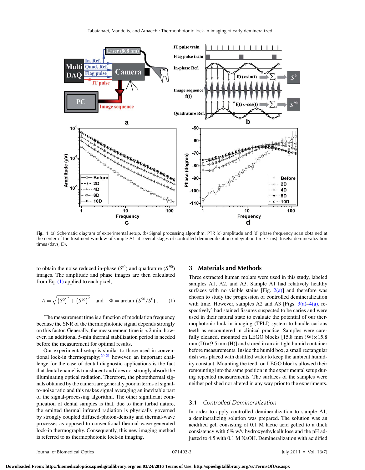<span id="page-3-0"></span>

**Fig. 1** (a) Schematic diagram of experimental setup. (b) Signal processing algorithm. PTR (c) amplitude and (d) phase frequency scan obtained at the center of the treatment window of sample A1 at several stages of controlled demineralization (integration time 3 ms). Insets: demineralization times (days, D).

to obtain the noise reduced in-phase  $(S^0)$  and quadrature  $(S^{90})$ images. The amplitude and phase images are then calculated from Eq. [\(1\)](#page-3-1) applied to each pixel,

<span id="page-3-1"></span>
$$
A = \sqrt{(S^0)^2 + (S^{90})^2}
$$
 and  $\Phi = \arctan (S^{90}/S^0)$ . (1)

The measurement time is a function of modulation frequency because the SNR of the thermophotonic signal depends strongly on this factor. Generally, the measurement time is <2 min; however, an additional 5-min thermal stabilization period is needed before the measurement for optimal results.

Our experimental setup is similar to those used in conven-tional lock-in thermography;<sup>20, [21](#page-9-17)</sup> however, an important challenge for the case of dental diagnostic applications is the fact that dental enamel is translucent and does not strongly absorb the illuminating optical radiation. Therefore, the photothermal signals obtained by the camera are generally poor in terms of signalto-noise ratio and this makes signal averaging an inevitable part of the signal-processing algorithm. The other significant complication of dental samples is that, due to their turbid nature, the emitted thermal infrared radiation is physically governed by strongly coupled diffused-photon-density and thermal-wave processes as opposed to conventional thermal-wave-generated lock-in thermography. Consequently, this new imaging method is referred to as thermophotonic lock-in imaging.

#### **3 Materials and Methods**

Three extracted human molars were used in this study, labeled samples A1, A2, and A3. Sample A1 had relatively healthy surfaces with no visible stains [Fig.  $2(a)$ ] and therefore was chosen to study the progression of controlled demineralization with time. However, samples A2 and A3 [Figs.  $3(a) - 4(a)$ , respectively] had stained fissures suspected to be caries and were used in their natural state to evaluate the potential of our thermophotonic lock-in imaging (TPLI) system to handle carious teeth as encountered in clinical practice. Samples were carefully cleaned, mounted on LEGO blocks  $[15.8 \text{ mm (W)} \times 15.8]$  $mm (D) \times 9.5 mm (H)$ ] and stored in an air-tight humid container before measurements. Inside the humid box, a small rectangular dish was placed with distilled water to keep the ambient humidity constant. Mounting the teeth on LEGO blocks allowed their remounting into the same position in the experimental setup during repeated measurements. The surfaces of the samples were neither polished nor altered in any way prior to the experiments.

#### **3.1** *Controlled Demineralization*

In order to apply controlled demineralization to sample A1, a demineralizing solution was prepared. The solution was an acidified gel, consisting of 0.1 M lactic acid gelled to a thick consistency with 6% w/v hydroxyethylcellulose and the pH adjusted to 4.5 with 0.1 M NaOH. Demineralization with acidified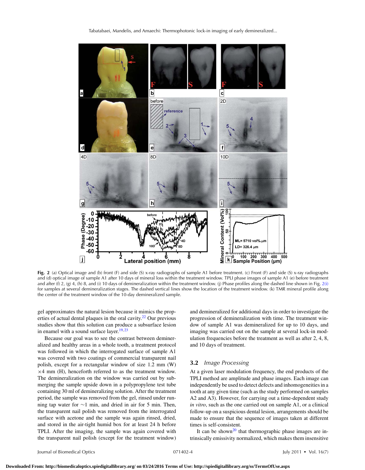<span id="page-4-0"></span>

**Fig. 2** (a) Optical image and (b) front (F) and side (S) x-ray radiographs of sample A1 before treatment. (c) Front (F) and side (S) x-ray radiographs and (d) optical image of sample A1 after 10 days of mineral loss within the treatment window. TPLI phase images of sample A1 (e) before treatment and after (f)  $2$ , (g)  $4$ , (h)  $8$ , and (i) 10 days of demineralization within the treatment window. (j) Phase profiles along the dashed line shown in Fig.  $2(i)$ for samples at several demineralization stages. The dashed vertical lines show the location of the treatment window. (k) TMR mineral profile along the center of the treatment window of the 10-day demineralized sample.

gel approximates the natural lesion because it mimics the properties of actual dental plaques in the oral cavity.<sup>22</sup> Our previous studies show that this solution can produce a subsurface lesion in enamel with a sound surface layer.<sup>19,[23](#page-10-1)</sup>

Because our goal was to see the contrast between demineralized and healthy areas in a whole tooth, a treatment protocol was followed in which the interrogated surface of sample A1 was covered with two coatings of commercial transparent nail polish, except for a rectangular window of size 1.2 mm (W)  $\times$ 4 mm (H), henceforth referred to as the treatment window. The demineralization on the window was carried out by submerging the sample upside down in a polypropylene test tube containing 30 ml of demineralizing solution. After the treatment period, the sample was removed from the gel, rinsed under running tap water for ∼1 min, and dried in air for 5 min. Then, the transparent nail polish was removed from the interrogated surface with acetone and the sample was again rinsed, dried, and stored in the air-tight humid box for at least 24 h before TPLI. After the imaging, the sample was again covered with the transparent nail polish (except for the treatment window)

and demineralized for additional days in order to investigate the progression of demineralization with time. The treatment window of sample A1 was demineralized for up to 10 days, and imaging was carried out on the sample at several lock-in modulation frequencies before the treatment as well as after 2, 4, 8, and 10 days of treatment.

#### **3.2** *Image Processing*

At a given laser modulation frequency, the end products of the TPLI method are amplitude and phase images. Each image can independently be used to detect defects and inhomogeneities in a tooth at any given time (such as the study performed on samples A2 and A3). However, for carrying out a time-dependent study *in vitro*, such as the one carried out on sample A1, or a clinical follow-up on a suspicious dental lesion, arrangements should be made to ensure that the sequence of images taken at different times is self-consistent.

It can be shown<sup>[20](#page-9-16)</sup> that thermographic phase images are intrinsically emissivity normalized, which makes them insensitive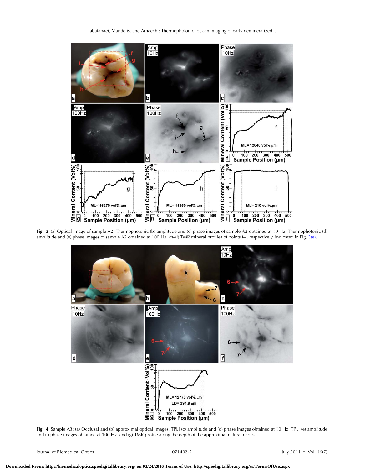Tabatabaei, Mandelis, and Amaechi: Thermophotonic lock-in imaging of early demineralized...

<span id="page-5-0"></span>

<span id="page-5-1"></span>**Fig. 3** (a) Optical image of sample A2. Thermophotonic (b) amplitude and (c) phase images of sample A2 obtained at 10 Hz. Thermophotonic (d) amplitude and (e) phase images of sample A2 obtained at 100 Hz. (f)–(i) TMR mineral profiles of points f–i, respectively, indicated in Fig. [3\(e\).](#page-5-0)



**Fig. 4** Sample A3: (a) Occlusal and (b) approximal optical images, TPLI (c) amplitude and (d) phase images obtained at 10 Hz, TPLI (e) amplitude and (f) phase images obtained at 100 Hz, and (g) TMR profile along the depth of the approximal natural caries.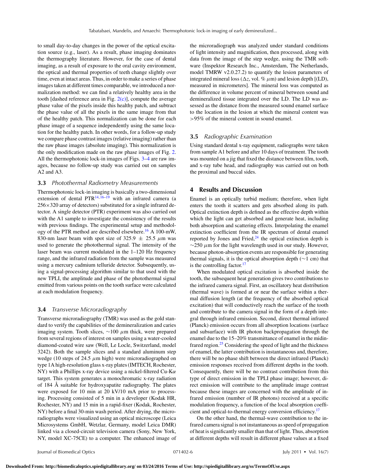to small day-to-day changes in the power of the optical excitation source (e.g., laser). As a result, phase imaging dominates the thermography literature. However, for the case of dental imaging, as a result of exposure to the oral cavity environment, the optical and thermal properties of teeth change slightly over time, even at intact areas. Thus, in order to make a series of phase images taken at different times comparable, we introduced a normalization method: we can find a relatively healthy area in the tooth [dashed reference area in Fig.  $2(c)$ ], compute the average phase value of the pixels inside this healthy patch, and subtract the phase value of all the pixels in the same image from that of the healthy patch. This normalization can be done for each phase image of a sequence independently using the same location for the healthy patch. In other words, for a follow-up study we compare phase contrast images (relative imaging) rather than the raw phase images (absolute imaging). This normalization is the only modification made on the raw phase images of Fig. [2.](#page-4-0) All the thermophotonic lock-in images of Figs. [3–](#page-5-0)[4](#page-5-1) are raw images, because no follow-up study was carried out on samples A2 and A3.

#### **3.3** *Photothermal Radiometry Measurements*

Thermophotonic lock-in imaging is basically a two-dimensional extension of dental  $PTR^{14,16-19}$  $PTR^{14,16-19}$  $PTR^{14,16-19}$  with an infrared camera (a  $256\times320$  array of detectors) substituted for a single infrared detector. A single detector (PTR) experiment was also carried out with the A1 sample to investigate the consistency of the results with previous findings. The experimental setup and methodology of the PTR method are described elsewhere.<sup>16</sup> A 100-mW, 830-nm laser beam with spot size of 325.9  $\pm$  25.5  $\mu$ m was used to generate the photothermal signal. The intensity of the laser beam was current modulated in the 1–120 Hz frequency range, and the infrared radiation from the sample was measured using a mercury cadmium telluride detector. Subsequently, using a signal-processing algorithm similar to that used with the new TPLI, the amplitude and phase of the photothermal signal emitted from various points on the tooth surface were calculated at each modulation frequency.

#### **3.4** *Transverse Microradiography*

Transverse microradiography (TMR) was used as the gold standard to verify the capabilities of the demineralization and caries imaging system. Tooth slices,  $\sim$ 100  $\mu$ m thick, were prepared from several regions of interest on samples using a water-cooled diamond-coated wire saw (Well, Le Locle, Switzerland, model 3242). Both the sample slices and a standard aluminum step wedge (10 steps of 24.5  $\mu$ m high) were microradiographed on type 1A high-resolution glass x-ray plates (IMTECH, Rochester, NY) with a Phillips x-ray device using a nickel-filtered Cu-Kα target. This system generates a monochromatic x-ray radiation of 184 Å suitable for hydroxyapatite radiography. The plates were exposed for 10 min at 20 kV/10 mA prior to processing. Processing consisted of 5 min in a developer (Kodak HR, Rochester, NY) and 15 min in a rapid-fixer (Kodak, Rochester, NY) before a final 30-min wash period. After drying, the microradiographs were visualized using an optical microscope (Leica Microsystems GmbH, Wetzlar, Germany, model Leica DMR) linked via a closed-circuit television camera (Sony, New York, NY, model XC-75CE) to a computer. The enhanced image of the microradiograph was analyzed under standard conditions of light intensity and magnification, then processed, along with data from the image of the step wedge, using the TMR software (Inspektor Research Inc., Amsterdam, The Netherlands, model TMRW v2.0.27.2) to quantify the lesion parameters of integrated mineral loss ( $\Delta z$ , vol. %  $\mu$ m) and lesion depth [(LD), measured in micrometers]. The mineral loss was computed as the difference in volume percent of mineral between sound and demineralized tissue integrated over the LD. The LD was assessed as the distance from the measured sound enamel surface to the location in the lesion at which the mineral content was >95% of the mineral content in sound enamel.

#### **3.5** *Radiographic Examination*

Using standard dental x-ray equipment, radiographs were taken from sample A1 before and after 10 days of treatment. The tooth was mounted on a jig that fixed the distance between film, tooth, and x-ray tube head, and radiography was carried out on both the proximal and buccal sides.

#### **4 Results and Discussion**

Enamel is an optically turbid medium; therefore, when light enters the tooth it scatters and gets absorbed along its path. Optical extinction depth is defined as the effective depth within which the light can get absorbed and generate heat, including both absorption and scattering effects. Interpolating the enamel extinction coefficient from the IR spectrum of dental enamel reported by Jones and Fried, $24$  the optical extinction depth is  $\sim$ 250  $\mu$ m for the light wavelength used in our study. However, because photon-absorption events are responsible for generating thermal signals, it is the optical absorption depth ( $\sim$ 1 cm) that is the controlling factor.<sup>[17](#page-9-19)</sup>

When modulated optical excitation is absorbed inside the tooth, the subsequent heat generation gives two contributions to the infrared camera signal. First, an oscillatory heat distribution (thermal wave) is formed at or near the surface within a thermal diffusion length (at the frequency of the absorbed optical excitation) that will conductively reach the surface of the tooth and contribute to the camera signal in the form of a depth integral through infrared emission. Second, direct thermal infrared (Planck) emission occurs from all absorption locations (surface and subsurface) with IR photon backpropagation through the enamel due to the 15–20% transmittance of enamel in the midinfrared region.<sup>25</sup> Considering the speed of light and the thickness of enamel, the latter contribution is instantaneous and, therefore, there will be no phase shift between the direct infrared (Planck) emission responses received from different depths in the tooth. Consequently, there will be no contrast contribution from this type of direct emission in the TPLI phase image; however, direct emission will contribute to the amplitude image contrast because these images are concerned with the amplitude of infrared emission (number of IR photons) received at a specific modulation frequency, a function of the local absorption coefficient and optical-to-thermal energy conversion efficiency.<sup>17</sup>

On the other hand, the thermal-wave contribution to the infrared camera signal is not instantaneous as speed of propagation of heat is significantly smaller than that of light. Thus, absorption at different depths will result in different phase values at a fixed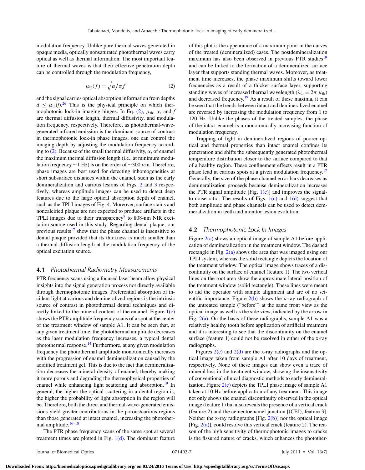modulation frequency. Unlike pure thermal waves generated in opaque media, optically nonsaturated photothermal waves carry optical as well as thermal information. The most important feature of thermal waves is that their effective penetration depth can be controlled through the modulation frequency,

$$
\mu_{\rm th}(f) = \sqrt{\alpha/\pi f} \tag{2}
$$

and the signal carries optical absorption information from depths  $d \leq \mu_{\text{th}}(f).^{26}$  $d \leq \mu_{\text{th}}(f).^{26}$  $d \leq \mu_{\text{th}}(f).^{26}$  This is the physical principle on which ther-mophotonic lock-in imaging hinges. In Eq. [\(2\),](#page-7-0)  $\mu_{th}$ ,  $\alpha$ , and *f* are thermal diffusion length, thermal diffusivity, and modulation frequency, respectively. Therefore, as photothermal-wavegenerated infrared emission is the dominant source of contrast in thermophotonic lock-in phase images, one can control the imaging depth by adjusting the modulation frequency according to  $(2)$ . Because of the small thermal diffusivity,  $\alpha$ , of enamel the maximum thermal diffusion length (i.e., at minimum modulation frequency  $\sim$ 1 Hz) is on the order of  $\sim$ 300  $\mu$ m. Therefore, phase images are best used for detecting inhomogeneities at short subsurface distances within the enamel, such as the early demineralization and carious lesions of Figs. [2](#page-4-0) and [3](#page-5-0) respectively, whereas amplitude images can be used to detect deep features due to the large optical absorption depth of enamel, such as the TPLI images of Fig. [4.](#page-5-1) Moreover, surface stains and noncalcified plaque are not expected to produce artifacts in the TPLI images due to their transparency $8$  to 808-nm NIR excitation source used in this study. Regarding dental plaque, our previous results<sup>17</sup> show that the phase channel is insensitive to dental plaque provided that its thickness is much smaller than a thermal diffusion length at the modulation frequency of the optical excitation source.

#### **4.1** *Photothermal Radiometry Measurements*

PTR frequency scans using a focused laser beam allow physical insights into the signal generation process not directly available through thermophotonic images. Preferential absorption of incident light at carious and demineralized regions is the intrinsic source of contrast in photothermal dental techniques and directly linked to the mineral content of the enamel. Figure  $1(c)$ shows the PTR amplitude frequency scans of a spot at the center of the treatment window of sample A1. It can be seen that, at any given treatment time, the photothermal amplitude decreases as the laser modulation frequency increases, a typical dental photothermal response.<sup>[14](#page-9-13)</sup> Furthermore, at any given modulation frequency the photothermal amplitude monotonically increases with the progression of enamel demineralization caused by the acidified treatment gel. This is due to the fact that demineralization decreases the mineral density of enamel, thereby making it more porous and degrading the thermophysical properties of enamel while enhancing light scattering and absorption.<sup>19</sup> In general, the higher the optical scattering in a dental region is, the higher the probability of light absorption in the region will be. Therefore, both the direct and thermal-wave-generated emissions yield greater contributions in the porous/carious regions than those generated at intact enamel, increasing the photothermal amplitude. $16-18$ 

The PTR phase frequency scans of the same spot at several treatment times are plotted in Fig.  $1(d)$ . The dominant feature <span id="page-7-0"></span>of this plot is the appearance of a maximum point in the curves of the treated (demineralized) cases. The postdemineralization maximum has also been observed in previous PTR studies<sup>[19](#page-9-15)</sup> and can be linked to the formation of a demineralized surface layer that supports standing thermal waves. Moreover, as treatment time increases, the phase maximum shifts toward lower frequencies as a result of a thicker surface layer, supporting standing waves of increased thermal wavelength ( $\lambda_{th} = 2\pi \mu_{th}$ ) and decreased frequency.<sup>19</sup> As a result of these maxima, it can be seen that the trends between intact and demineralized enamel are reversed by increasing the modulation frequency from 1 to 120 Hz. Unlike the phases of the treated samples, the phase of the intact enamel is a monotonically increasing function of modulation frequency.

Trapping of light in demineralized regions of poorer optical and thermal properties than intact enamel confines its penetration and shifts the subsequently generated photothermal temperature distribution closer to the surface compared to that of a healthy region. These confinement effects result in a PTR phase lead at carious spots at a given modulation frequency.<sup>[17](#page-9-19)</sup> Generally, the size of the phase channel error bars decreases as demineralization proceeds because demineralization increases the PTR signal amplitude [Fig.  $1(c)$ ] and improves the signalto-noise ratio. The results of Figs.  $1(c)$  and  $1(d)$  suggest that both amplitude and phase channels can be used to detect demineralization in teeth and monitor lesion evolution.

#### **4.2** *Thermophotonic Lock-In Images*

Figure  $2(a)$  shows an optical image of sample A1 before application of demineralization in the treatment window. The dashed rectangle in Fig.  $2(a)$  shows the area that was imaged using our TPLI system, whereas the solid rectangle depicts the location of the treatment window. The optical image shows traces of a discontinuity on the surface of enamel (feature 1). The two vertical lines on the root area show the approximate lateral position of the treatment window (solid rectangle). These lines were meant to aid the operator with sample alignment and are of no scientific importance. Figure  $2(b)$  shows the x-ray radiograph of the untreated sample ("before") at the same front view as the optical image as well as the side view, indicated by the arrow in Fig.  $2(a)$ . On the basis of these radiographs, sample A1 was a relatively healthy tooth before application of artificial treatment and it is interesting to see that the discontinuity on the enamel surface (feature 1) could not be resolved in either of the x-ray radiographs.

Figures  $2(c)$  and  $2(d)$  are the x-ray radiographs and the optical image taken from sample A1 after 10 days of treatment, respectively. None of these images can show even a trace of mineral loss in the treatment window, showing the insensitivity of conventional clinical diagnostic methods to early demineralization. Figure  $2(e)$  depicts the TPLI phase image of sample A1 taken at 10 Hz before application of any treatment. This image not only shows the enamel discontinuity observed in the optical image (feature 1) but also reveals the presence of a vertical crack (feature 2) and the cementoenamel junction [(CEJ), feature 3]. Neither the x-ray radiographs [Fig.  $2(b)$ ] nor the optical image [Fig.  $2(a)$ ], could resolve this vertical crack (feature 2). The reason of the high sensitivity of thermophotonic images to cracks is the fissured nature of cracks, which enhances the photother-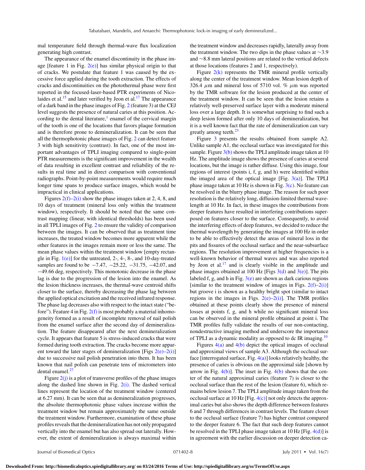mal temperature field through thermal-wave flux localization generating high contrast.

The appearance of the enamel discontinuity in the phase image [feature 1 in Fig.  $2(e)$ ] has similar physical origin to that of cracks. We postulate that feature 1 was caused by the excessive force applied during the tooth extraction. The effects of cracks and discontinuities on the photothermal phase were first reported in the focused-laser-based PTR experiments of Nicolaides et al.<sup>15</sup> and later verified by Jeon et al.<sup>17</sup> The appearance of a dark band in the phase images of Fig. [2](#page-4-0) (feature 3) at the CEJ level suggests the presence of natural caries at this position. According to the dental literature, $\frac{1}{2}$  enamel of the cervical margin of the tooth is one of the locations that favors plaque formation and is therefore prone to demineralization. It can be seen that all the thermophotonic phase images of Fig. [2](#page-4-0) can detect feature 3 with high sensitivity (contrast). In fact, one of the most important advantages of TPLI imaging compared to single-point PTR measurements is the significant improvement in the wealth of data resulting in excellent contrast and reliability of the results in real time and in direct comparison with conventional radiographs. Point-by-point measurements would require much longer time spans to produce surface images, which would be impractical in clinical applications.

Figures  $2(f)-2(i)$  show the phase images taken at 2, 4, 8, and 10 days of treatment (mineral loss only within the treatment window), respectively. It should be noted that the same contrast mapping (linear, with identical thresholds) has been used in all TPLI images of Fig. [2](#page-4-0) to ensure the validity of comparison between the images. It can be observed that as treatment time increases, the treated window becomes more apparent while the other features in the images remain more or less the same. The mean phase values within the treatment window [empty rectangle in Fig.  $1(e)$ ] for the untreated, 2-, 4-, 8-, and 10-day-treated samples are found to be  $-7.47, -25.22, -31.75, -42.07,$  and −49.66 deg, respectively. This monotonic decrease in the phase lag is due to the progression of the lesion into the enamel. As the lesion thickness increases, the thermal-wave centroid shifts closer to the surface, thereby decreasing the phase lag between the applied optical excitation and the received infrared response. The phase lag decreases also with respect to the intact state ("before"). Feature 4 in Fig.  $2(f)$  is most probably a material inhomogeneity formed as a result of incomplete removal of nail polish from the enamel surface after the second day of demineralization. The feature disappeared after the next demineralization cycle. It appears that feature 5 is stress-induced cracks that were formed during tooth extraction. The cracks become more apparent toward the later stages of demineralization [Figs  $2(e) - 2(i)$ ] due to successive nail polish penetration into them. It has been known that nail polish can penetrate tens of micrometers into dental enamel.<sup>[27](#page-10-5)</sup>

Figure  $2(i)$  is a plot of transverse profiles of the phase images along the dashed line shown in Fig.  $2(i)$ . The dashed vertical lines represent the location of the treatment window (centered at 6.27 mm). It can be seen that as demineralization progresses, the absolute thermophotonic phase values increase within the treatment window but remain approximately the same outside the treatment window. Furthermore, examination of these phase profiles reveals that the demineralization has not only propagated vertically into the enamel but has also spread out laterally. However, the extent of demineralization is always maximal within the treatment window and decreases rapidly, laterally away from the treatment window. The two dips in the phase values at ∼3.9 and ∼8.8 mm lateral positions are related to the vertical defects at those locations (features 2 and 1, respectively).

Figure  $2(k)$  represents the TMR mineral profile vertically along the center of the treatment window. Mean lesion depth of 326.4  $\mu$ m and mineral loss of 5710 vol. %  $\mu$ m was reported by the TMR software for the lesion produced at the center of the treatment window. It can be seen that the lesion retains a relatively well-preserved surface layer with a moderate mineral loss over a large depth. It is somewhat surprising to find such a deep lesion formed after only 10 days of demineralization, but it is a well known fact that the rate of demineralization can vary greatly among teeth.<sup>23</sup>

Figure [3](#page-5-0) presents the results obtained from sample A2. Unlike sample A1, the occlusal surface was investigated for this sample. Figure  $3(b)$  shows the TPLI amplitude image taken at 10 Hz. The amplitude image shows the presence of caries at several locations, but the image is rather diffuse. Using this image, four regions of interest (points i, f, g, and h) were identified within the imaged area of the optical image [Fig.  $3(a)$ ]. The TPLI phase image taken at 10 Hz is shown in Fig.  $3(c)$ . No feature can be resolved in the blurry phase image. The reason for such poor resolution is the relatively long, diffusion-limited thermal wavelength at 10 Hz. In fact, in these images the contributions from deeper features have resulted in interfering contributions superposed on features closer to the surface. Consequently, to avoid the interfering effects of deep features, we decided to reduce the thermal wavelength by generating the images at 100 Hz in order to be able to effectively detect the areas of mineral loss in the pits and fissures of the occlusal surface and the near-subsurface regions. The resolution improvement at higher frequencies is a well-known behavior of thermal waves and was also reported by Jeon et al.<sup>17</sup> and is clearly visible in the amplitude and phase images obtained at 100 Hz [Figs  $3(d)$  and  $3(e)$ ]. The pits labeled f, g, and h in Fig.  $3(e)$  are shown as dark carious regions [similar to the treatment window of images in Figs.  $2(f)-2(i)$ ] but groove i is shown as a healthy bright spot (similar to intact regions in the images in Figs.  $2(e)$ – $2(i)$ ]. The TMR profiles obtained at these points clearly show the presence of mineral losses at points f, g, and h while no significant mineral loss can be observed in the mineral profile obtained at point i. The TMR profiles fully validate the results of our non-contacting, nondestructive imaging method and underscore the importance of TPLI as a dynamic modality as opposed to dc IR imaging.<sup>10</sup>

Figures  $4(a)$  and  $4(b)$  depict the optical images of occlusal and approximal views of sample A3. Although the occlusal surface [interrogated surface, Fig.  $4(a)$ ] looks relatively healthy, the presence of caries is obvious on the approximal side [shown by arrow in Fig.  $4(b)$ ]. The inset in Fig.  $4(b)$  shows that the center of the natural approximal caries (feature 7) is closer to the occlusal surface than the rest of the lesion (feature 6), which remains below lesion 7. The TPLI amplitude image taken from the occlusal surface at 10 Hz [Fig.  $4(c)$ ] not only detects the approximal caries but also shows the depth difference between features 6 and 7 through differences in contrast levels. The feature closer to the occlusal surface (feature 7) has higher contrast compared to the deeper feature 6. The fact that such deep features cannot be resolved in the TPLI phase image taken at 10 Hz [Fig. [4\(d\)\]](#page-5-1) is in agreement with the earlier discussion on deeper detection ca-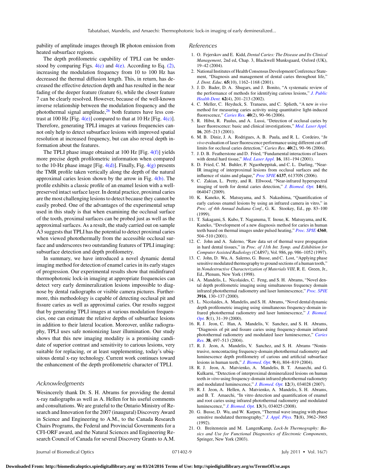pability of amplitude images through IR photon emission from heated subsurface regions.

#### <span id="page-9-0"></span>*References*

- 1. O. Fejerskov and E. Kidd, *Dental Caries: The Disease and Its Clinical Management*, 2nd ed, Chap. 3, Blackwell Munksgaard, Oxford (UK), 19–42 (2004).
- <span id="page-9-1"></span>2. National Institutes of Health Consensus Development Conference Statement, "Diagnosis and management of dental caries throughout life," *J. Dent. Educ.* **65**(10), 1162–1168 (2001).
- <span id="page-9-2"></span>3. J. D. Bader, D. A. Shugars, and J. Bonito, "A systematic review of the performance of methods for identifying carious lesions," *[J. Public](http://dx.doi.org/10.1111/j.1752-7325.2002.tb03446.x) [Health Dent.](http://dx.doi.org/10.1111/j.1752-7325.2002.tb03446.x)* **62**(4), 201–213 (2002).
- <span id="page-9-3"></span>4. C. Meller, C. Heyduck, S. Tranaeus, and C. Splieth, "A new *in vivo* method for measuring caries activity using quantitative light-induced fluorescence," *[Caries Res.](http://dx.doi.org/10.1159/000091053)* **40**(2), 90–96 (2006).
- <span id="page-9-4"></span>5. R. Hibst, R. Paulus, and A. Lussi, "Detection of occlusal caries by laser fluorescence: basic and clinical investigations," *[Med. Laser Appl.](http://dx.doi.org/10.1078/1615-1615-00024)* **16**, 205–213 (2001).
- <span id="page-9-5"></span>6. M. B. Diniz, J. A. Rodrigues, A. B. Paula, and R. L. Cordeiro, "*In vivo* evaluation of laser fluorescence performance using different cut-off limits for occlusal caries detection," *Caries Res*. **40**(2), 90–96 (2006).
- <span id="page-9-6"></span>7. J. D. B. Featherstone and D. Fried, "Fundamental interactions of lasers with dental hard tissue," *[Med. Laser Appl.](http://dx.doi.org/10.1078/1615-1615-00022)* **16**, 181–194 (2001).
- <span id="page-9-7"></span>8. D. Fried, C. M. Buhler, P. Ngaotheppitak, and C. L. Darling, "Near-IR imaging of interproximal lesions from occlusal surfaces and the influence of stains and plaque," *[Proc SPIE](http://dx.doi.org/10.1117/12.661801)* **6137**, 61370N (2006).
- <span id="page-9-8"></span>9. C. Zakian, L. Pretty, and R. Ellwood, "Near-infrared hyperspectral imaging of teeth for dental caries detection," *[J. Biomed. Opt.](http://dx.doi.org/10.1117/1.3275480)* **14**(6), 064047 (2009).
- <span id="page-9-9"></span>10. K. Kaneko, K. Matsuyama, and S. Nakashima, "Quantification of early carious enamel lesions by using an infrared camera in vitro," in *Proc. of 4th Annual Indiana Conf.*, G. K. Stookey, Ed., pp. 83–100 (1999).
- <span id="page-9-10"></span>11. T. Sakagami, S. Kubo, T. Naganuma, T. Inoue, K. Matsuyama, and K. Kaneko, "Development of a new diagnosis method for caries in human teeth based on thermal images under pulsed heating," *[Proc. SPIE](http://dx.doi.org/10.1117/12.421031)* **4360**, 504–510 (2001).
- <span id="page-9-11"></span>12. C. John and A. Salerno, "Raw data set of thermal wave propagation in hard dental tissues," in *Proc. of 11th Int. Symp. and Exhibition for Computer Assisted Radiology (CAR97)*, Vol. 986, pp. 986–1052 (1997).
- <span id="page-9-12"></span>13. C. John, D. Wu, A. Salerno, G. Busse, and C. Lost, "Applying phase sensitive modulated thermography to ground sections of a human tooth," in *Nondestructive Characterization of Materials VIII*, R. E. Green, Jr., Ed., Plenum, New York (1998).
- <span id="page-9-13"></span>14. A. Mandelis, L. Nicolaides, C. Feng, and S. H. Abrams, "Novel dental depth profilometric imaging using simultaneous frequency domain infrared photothermal radiometry and laser luminescence," *[Proc. SPIE](http://dx.doi.org/10.1117/12.386313)* **3916**, 130–137 (2000).
- <span id="page-9-14"></span>15. L. Nicolaides, A. Mandelis, and S. H. Abrams, "Novel dental dynamic depth profilometric imaging using simultaneous frequency-domain infrared photothermal radiometry and laser luminescence," *[J. Biomed.](http://dx.doi.org/10.1117/1.429965) [Opt.](http://dx.doi.org/10.1117/1.429965)* **5**(1), 31–39 (2000).
- <span id="page-9-18"></span>16. R. J. Jeon, C. Han, A. Mandelis, V. Sanchez, and S. H. Abrams, "Diagnosis of pit and fissure caries using frequency-domain infrared photothermal radiometry and modulated laser luminescence," *[Caries](http://dx.doi.org/10.1159/000080579) [Res.](http://dx.doi.org/10.1159/000080579)* **38**, 497–513 (2004).
- <span id="page-9-19"></span>17. R. J. Jeon, A. Mandelis, V. Sanchez, and S. H. Abrams "Nonintrusive, noncontacting frequency-domain photothermal radiometry and luminescence depth profilometry of carious and artificial subsurface lesions in human teeth," *[J. Biomed. Opt.](http://dx.doi.org/10.1117/1.1755234)* **9**(4), 804–819 (2004).
- <span id="page-9-20"></span>18. R. J. Jeon, A. Matvienko, A. Mandelis, B. T. Amaechi, and G. Kulkarni, "Detection of interproximal demineralized lesions on human teeth *in vitro* using frequency-domain infrared photothermal radiometry and modulated luminescence," *[J. Biomed. Opt.](http://dx.doi.org/10.1117/1.2750289)* **12**(3), 034028 (2007).
- <span id="page-9-15"></span>19. R. J. Jeon, A. Hellen, A. Matvienko, A. Mandelis, S. H. Abrams, and B. T. Amaechi, "In vitro detection and quantification of enamel and root caries using infrared photothermal radiometry and modulated luminescence," *[J. Biomed. Opt.](http://dx.doi.org/10.1117/1.2942374)* **13**(3), 034025 (2008).
- <span id="page-9-16"></span>20. G. Busse, D. Wu, and W. Karpen, "Thermal wave imaging with phase sensitive modulated thermography," *[J. Appl. Phys.](http://dx.doi.org/10.1063/1.351366)* **71**(8), 3962–3965 (1992).
- <span id="page-9-17"></span>21. O. Breitenstein and M. LangenKamp, *Lock-In Thermography: Basics and Use for Functional Diagnostics of Electronic Components*, Springer, New York (2003).

The depth profilometric capability of TPLI can be understood by comparing Figs.  $4(c)$  and  $4(e)$ . According to Eq. [\(2\),](#page-7-0) increasing the modulation frequency from 10 to 100 Hz has decreased the thermal diffusion length. This, in return, has decreased the effective detection depth and has resulted in the near fading of the deeper feature (feature 6), while the closer feature 7 can be clearly resolved. However, because of the well-known inverse relationship between the modulation frequency and the photothermal signal amplitude, $26$  both features have less contrast at 100 Hz [Fig.  $4(e)$ ] compared to that at 10 Hz [Fig.  $4(c)$ ]. Therefore, generating TPLI images at various frequencies cannot only help to detect subsurface lesions with improved spatial resolution at increased frequency, but can also reveal depth information about the features.

The TPLI phase image obtained at 100 Hz [Fig. [4\(f\)\]](#page-5-1) yields more precise depth profilometric information when compared to the 10-Hz phase image [Fig.  $4(d)$ ]. Finally, Fig.  $4(g)$  presents the TMR profile taken vertically along the depth of the natural approximal caries lesion shown by the arrow in Fig.  $4(b)$ . The profile exhibits a classic profile of an enamel lesion with a wellpreserved intact surface layer. In dental practice, proximal caries are the most challenging lesions to detect because they cannot be easily probed. One of the advantages of the experimental setup used in this study is that when examining the occlusal surface of the tooth, proximal surfaces can be probed just as well as the approximal surfaces. As a result, the study carried out on sample A3 suggests that TPLI has the potential to detect proximal caries when viewed photothermally from the accessible occlusal surface and underscores two outstanding features of TPLI imaging: subsurface detection and depth profilometry.

In summary, we have introduced a novel dynamic dental imaging method for detection of enamel caries in its early stages of progression. Our experimental results show that midinfrared thermophotonic lock-in imaging at appropriate frequencies can detect very early demineralization lesions impossible to diagnose by dental radiographs or visible camera pictures. Furthermore, this methodology is capable of detecting occlusal pit and fissure caries as well as approximal caries. Our results suggest that by generating TPLI images at various modulation frequencies, one can estimate the relative depths of subsurface lesions in addition to their lateral location. Moreover, unlike radiography, TPLI uses safe nonionizing laser illumination. Our study shows that this new imaging modality is a promising candidate of superior contrast and sensitivity to carious lesions, very suitable for replacing, or at least supplementing, today's ubiquitous dental x-ray technology. Current work continues toward the enhancement of the depth profilometric character of TPLI.

#### *Acknowledgments*

Wesincerely thank Dr. S. H. Abrams for providing the dental x-ray radiographs as well as A. Hellen for his useful comments and consultations. We are grateful to the Ontario Ministry of Research and Innovation for the 2007 (inaugural) Discovery Award in Science and Engineering to A.M., to the Canada Research Chairs Programs, the Federal and Provincial Governments for a CFI-ORF award, and the Natural Sciences and Engineering Research Council of Canada for several Discovery Grants to A.M.